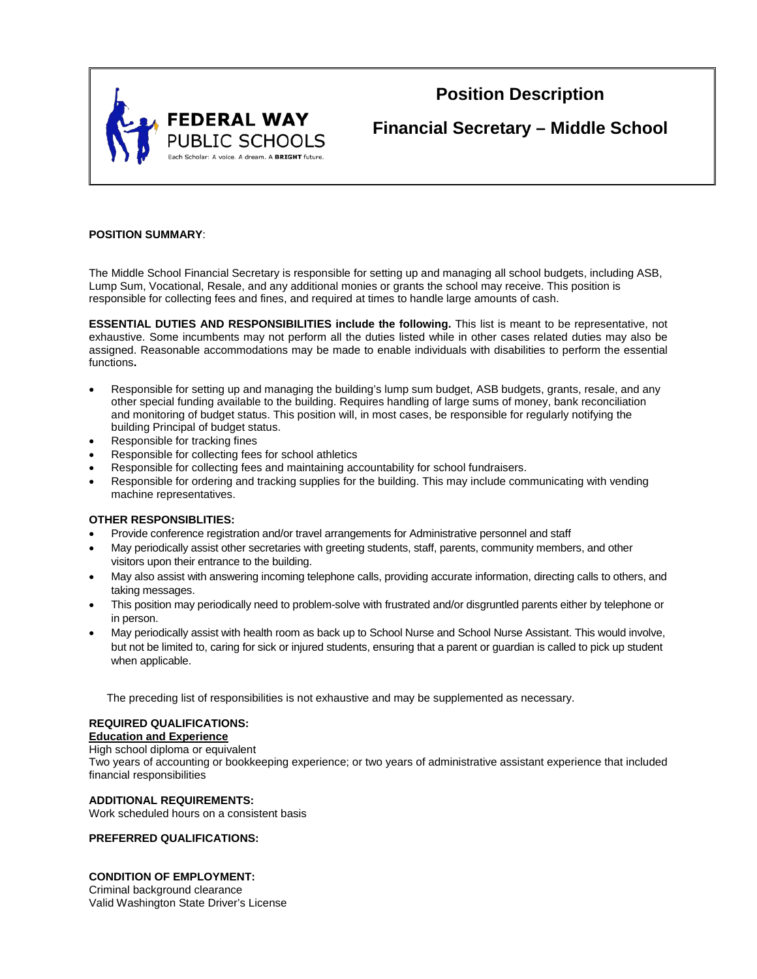

# **Position Description**

**Financial Secretary – Middle School**

## **POSITION SUMMARY**:

The Middle School Financial Secretary is responsible for setting up and managing all school budgets, including ASB, Lump Sum, Vocational, Resale, and any additional monies or grants the school may receive. This position is responsible for collecting fees and fines, and required at times to handle large amounts of cash.

**ESSENTIAL DUTIES AND RESPONSIBILITIES include the following.** This list is meant to be representative, not exhaustive. Some incumbents may not perform all the duties listed while in other cases related duties may also be assigned. Reasonable accommodations may be made to enable individuals with disabilities to perform the essential functions**.**

- Responsible for setting up and managing the building's lump sum budget, ASB budgets, grants, resale, and any other special funding available to the building. Requires handling of large sums of money, bank reconciliation and monitoring of budget status. This position will, in most cases, be responsible for regularly notifying the building Principal of budget status.
- Responsible for tracking fines
- Responsible for collecting fees for school athletics
- Responsible for collecting fees and maintaining accountability for school fundraisers.
- Responsible for ordering and tracking supplies for the building. This may include communicating with vending machine representatives.

#### **OTHER RESPONSIBLITIES:**

- Provide conference registration and/or travel arrangements for Administrative personnel and staff
- May periodically assist other secretaries with greeting students, staff, parents, community members, and other visitors upon their entrance to the building.
- May also assist with answering incoming telephone calls, providing accurate information, directing calls to others, and taking messages.
- This position may periodically need to problem-solve with frustrated and/or disgruntled parents either by telephone or in person.
- May periodically assist with health room as back up to School Nurse and School Nurse Assistant. This would involve, but not be limited to, caring for sick or injured students, ensuring that a parent or guardian is called to pick up student when applicable.

The preceding list of responsibilities is not exhaustive and may be supplemented as necessary.

# **REQUIRED QUALIFICATIONS:**

## **Education and Experience**

# High school diploma or equivalent

Two years of accounting or bookkeeping experience; or two years of administrative assistant experience that included financial responsibilities

#### **ADDITIONAL REQUIREMENTS:**

Work scheduled hours on a consistent basis

#### **PREFERRED QUALIFICATIONS:**

## **CONDITION OF EMPLOYMENT:**

Criminal background clearance Valid Washington State Driver's License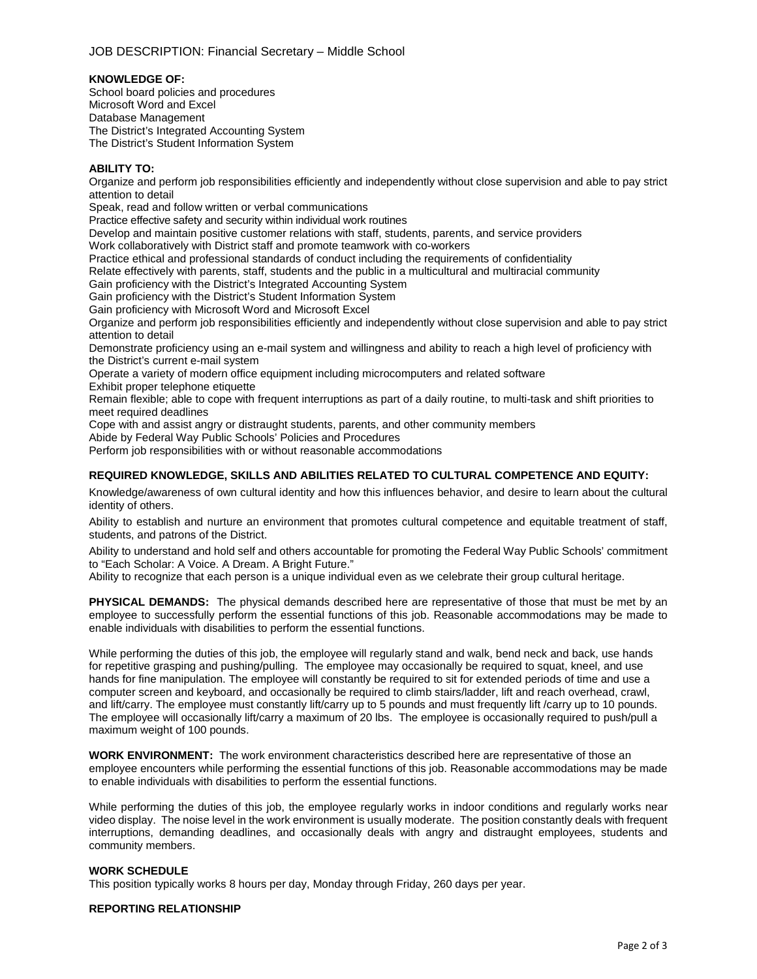#### **KNOWLEDGE OF:**

School board policies and procedures Microsoft Word and Excel Database Management The District's Integrated Accounting System The District's Student Information System

## **ABILITY TO:**

Organize and perform job responsibilities efficiently and independently without close supervision and able to pay strict attention to detail

Speak, read and follow written or verbal communications

Practice effective safety and security within individual work routines

Develop and maintain positive customer relations with staff, students, parents, and service providers

Work collaboratively with District staff and promote teamwork with co-workers

Practice ethical and professional standards of conduct including the requirements of confidentiality

Relate effectively with parents, staff, students and the public in a multicultural and multiracial community

Gain proficiency with the District's Integrated Accounting System

Gain proficiency with the District's Student Information System

Gain proficiency with Microsoft Word and Microsoft Excel

Organize and perform job responsibilities efficiently and independently without close supervision and able to pay strict attention to detail

Demonstrate proficiency using an e-mail system and willingness and ability to reach a high level of proficiency with the District's current e-mail system

Operate a variety of modern office equipment including microcomputers and related software Exhibit proper telephone etiquette

Remain flexible; able to cope with frequent interruptions as part of a daily routine, to multi-task and shift priorities to meet required deadlines

Cope with and assist angry or distraught students, parents, and other community members

Abide by Federal Way Public Schools' Policies and Procedures

Perform job responsibilities with or without reasonable accommodations

#### **REQUIRED KNOWLEDGE, SKILLS AND ABILITIES RELATED TO CULTURAL COMPETENCE AND EQUITY:**

Knowledge/awareness of own cultural identity and how this influences behavior, and desire to learn about the cultural identity of others.

Ability to establish and nurture an environment that promotes cultural competence and equitable treatment of staff, students, and patrons of the District.

Ability to understand and hold self and others accountable for promoting the Federal Way Public Schools' commitment to "Each Scholar: A Voice. A Dream. A Bright Future."

Ability to recognize that each person is a unique individual even as we celebrate their group cultural heritage.

**PHYSICAL DEMANDS:** The physical demands described here are representative of those that must be met by an employee to successfully perform the essential functions of this job. Reasonable accommodations may be made to enable individuals with disabilities to perform the essential functions.

While performing the duties of this job, the employee will regularly stand and walk, bend neck and back, use hands for repetitive grasping and pushing/pulling. The employee may occasionally be required to squat, kneel, and use hands for fine manipulation. The employee will constantly be required to sit for extended periods of time and use a computer screen and keyboard, and occasionally be required to climb stairs/ladder, lift and reach overhead, crawl, and lift/carry. The employee must constantly lift/carry up to 5 pounds and must frequently lift /carry up to 10 pounds. The employee will occasionally lift/carry a maximum of 20 lbs. The employee is occasionally required to push/pull a maximum weight of 100 pounds.

**WORK ENVIRONMENT:** The work environment characteristics described here are representative of those an employee encounters while performing the essential functions of this job. Reasonable accommodations may be made to enable individuals with disabilities to perform the essential functions.

While performing the duties of this job, the employee regularly works in indoor conditions and regularly works near video display. The noise level in the work environment is usually moderate. The position constantly deals with frequent interruptions, demanding deadlines, and occasionally deals with angry and distraught employees, students and community members.

#### **WORK SCHEDULE**

This position typically works 8 hours per day, Monday through Friday, 260 days per year.

#### **REPORTING RELATIONSHIP**